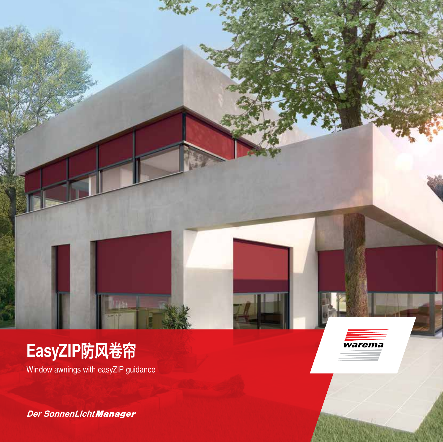

Window awnings with easyZIP guidance

*Der SonnenLicht Manager*

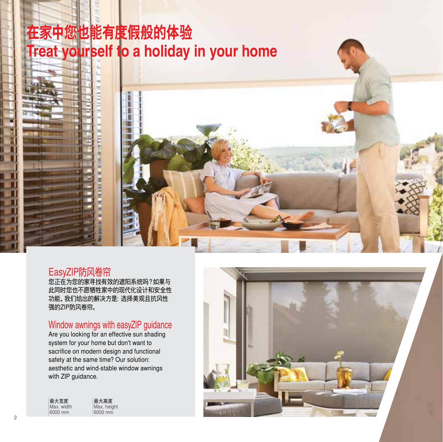# **在家中您也能有度假般的体验 Treat yourself to a holiday in your home**



### EasyZIP防风卷帘

您正在为您的家寻找有效的遮阳系统吗?如果与 此同时您也不愿牺牲家中的现代化设计和安全性 功能。我们给出的解决方是:选择美观且抗风性 强的ZIP防风卷帘。

# Window awnings with easyZIP guidance

Are you looking for an effective sun shading system for your home but don't want to sacrifice on modern design and functional safety at the same time? Our solution: aesthetic and wind-stable window awnings with ZIP guidance.

| 最大宽度       | 最大高度        |
|------------|-------------|
| Max. width | Max. height |
| 6000 mm    | 6000 mm     |
|            |             |

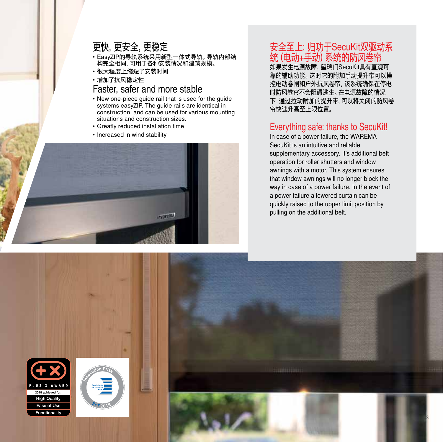# 更快,更安全,更稳定

- EasyZIP的导轨系统采用新型一体式导轨。导轨内部结 构完全相同,可用于各种安装情况和建筑规模。
- 很大程度上缩短了安装时间
- 增加了抗风稳定性

### Faster, safer and more stable

- New one-piece guide rail that is used for the guide systems easyZIP. The guide rails are identical in construction, and can be used for various mounting situations and construction sizes.
- Greatly reduced installation time
- Increased in wind stability



# 安全至上:归功于SecuKit双驱动系 统 (电动+手动) 糸统的防风卷帘

如果发生电源故障,望瑞门SecuKit具有直观可 靠的辅助功能。这时它的附加手动提升带可以操 控电动卷闸和户外抗风卷帘。该系统确保在停电 时防风卷帘不会阻碍逃生。在电源故障的情况 下,通过拉动附加的提升带,可以将关闭的防风卷 帘快速升高至上限位置。

## Everything safe: thanks to SecuKit!

In case of a power failure, the WAREMA SecuKit is an intuitive and reliable supplementary accessory. It's additional belt operation for roller shutters and window awnings with a motor. This system ensures that window awnings will no longer block the way in case of a power failure. In the event of a power failure a lowered curtain can be quickly raised to the upper limit position by pulling on the additional belt.